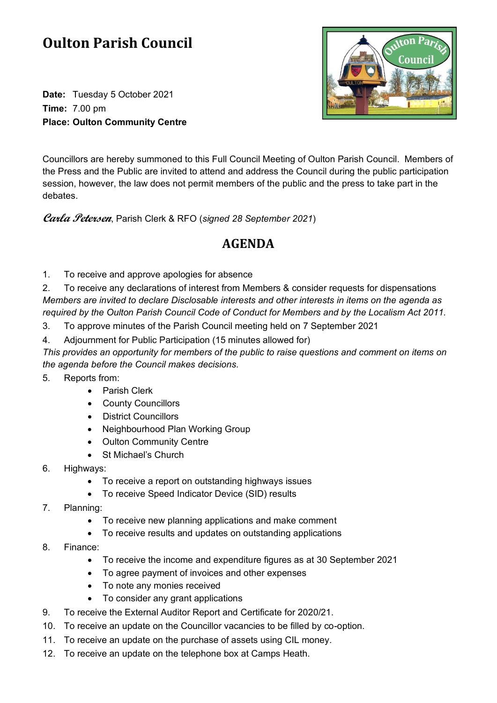## **Oulton Parish Council**

**Date:** Tuesday 5 October 2021 **Time:** 7.00 pm **Place: Oulton Community Centre**



Councillors are hereby summoned to this Full Council Meeting of Oulton Parish Council. Members of the Press and the Public are invited to attend and address the Council during the public participation session, however, the law does not permit members of the public and the press to take part in the debates.

**Carla Petersen**, Parish Clerk & RFO (*signed 28 September 2021*)

## **AGENDA**

1. To receive and approve apologies for absence

2. To receive any declarations of interest from Members & consider requests for dispensations *Members are invited to declare Disclosable interests and other interests in items on the agenda as required by the Oulton Parish Council Code of Conduct for Members and by the Localism Act 2011.*

- 3. To approve minutes of the Parish Council meeting held on 7 September 2021
- 4. Adjournment for Public Participation (15 minutes allowed for)

*This provides an opportunity for members of the public to raise questions and comment on items on the agenda before the Council makes decisions.*

5. Reports from:

- Parish Clerk
- County Councillors
- District Councillors
- Neighbourhood Plan Working Group
- Oulton Community Centre
- St Michael's Church
- 6. Highways:
	- To receive a report on outstanding highways issues
	- To receive Speed Indicator Device (SID) results
- 7. Planning:
	- To receive new planning applications and make comment
	- To receive results and updates on outstanding applications
- 8. Finance:
	- To receive the income and expenditure figures as at 30 September 2021
	- To agree payment of invoices and other expenses
	- To note any monies received
	- To consider any grant applications
- 9. To receive the External Auditor Report and Certificate for 2020/21.
- 10. To receive an update on the Councillor vacancies to be filled by co-option.
- 11. To receive an update on the purchase of assets using CIL money.
- 12. To receive an update on the telephone box at Camps Heath.